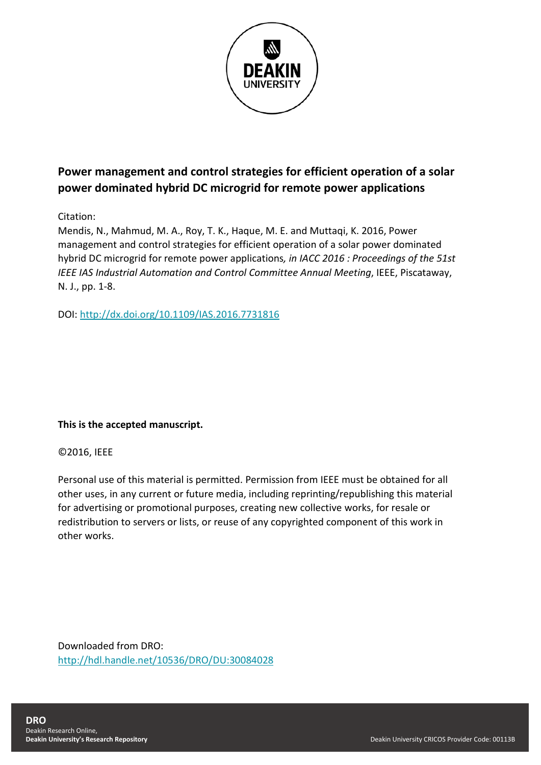

## **Power management and control strategies for efficient operation of a solar power dominated hybrid DC microgrid for remote power applications**

Citation:

Mendis, N., Mahmud, M. A., Roy, T. K., Haque, M. E. and Muttaqi, K. 2016, Power management and control strategies for efficient operation of a solar power dominated hybrid DC microgrid for remote power applications*, in IACC 2016 : Proceedings of the 51st IEEE IAS Industrial Automation and Control Committee Annual Meeting*, IEEE, Piscataway, N. J., pp. 1-8.

DOI:<http://dx.doi.org/10.1109/IAS.2016.7731816>

## **This is the accepted manuscript.**

### ©2016, IEEE

Personal use of this material is permitted. Permission from IEEE must be obtained for all other uses, in any current or future media, including reprinting/republishing this material for advertising or promotional purposes, creating new collective works, for resale or redistribution to servers or lists, or reuse of any copyrighted component of this work in other works.

Downloaded from DRO: <http://hdl.handle.net/10536/DRO/DU:30084028>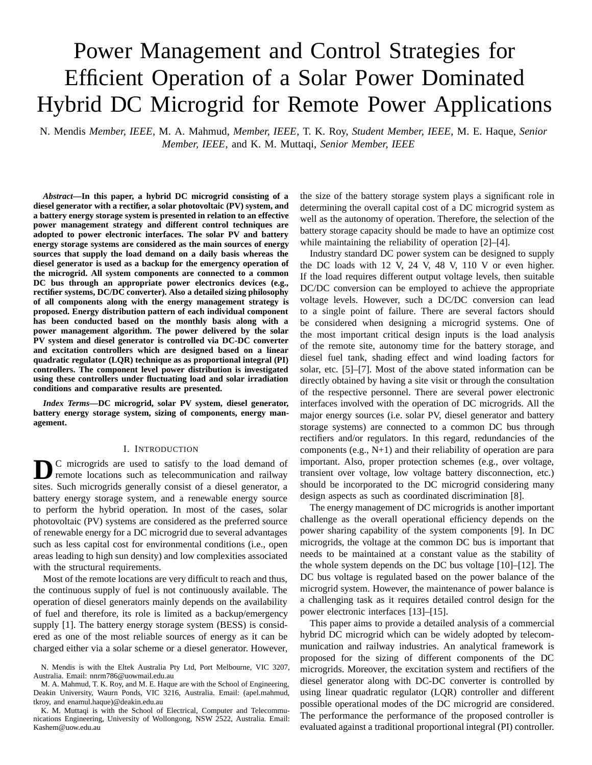# Power Management and Control Strategies for Efficient Operation of a Solar Power Dominated Hybrid DC Microgrid for Remote Power Applications

N. Mendis *Member, IEEE*, M. A. Mahmud, *Member, IEEE*, T. K. Roy, *Student Member, IEEE*, M. E. Haque, *Senior Member, IEEE*, and K. M. Muttaqi, *Senior Member, IEEE*

*Abstract***—In this paper, a hybrid DC microgrid consisting of a diesel generator with a rectifier, a solar photovoltaic (PV) system, and a battery energy storage system is presented in relation to an effective power management strategy and different control techniques are adopted to power electronic interfaces. The solar PV and battery energy storage systems are considered as the main sources of energy sources that supply the load demand on a daily basis whereas the diesel generator is used as a backup for the emergency operation of the microgrid. All system components are connected to a common DC bus through an appropriate power electronics devices (e.g., rectifier systems, DC/DC converter). Also a detailed sizing philosophy of all components along with the energy management strategy is proposed. Energy distribution pattern of each individual component has been conducted based on the monthly basis along with a power management algorithm. The power delivered by the solar PV system and diesel generator is controlled via DC-DC converter and excitation controllers which are designed based on a linear quadratic regulator (LQR) technique as as proportional integral (PI) controllers. The component level power distribution is investigated using these controllers under fluctuating load and solar irradiation conditions and comparative results are presented.**

*Index Terms***—DC microgrid, solar PV system, diesel generator, battery energy storage system, sizing of components, energy management.**

#### I. INTRODUCTION

**D**C microgrids are used to satisfy to the load demand of remote locations such as telecommunication and railway sites. Such microgrids generally consist of a diesel generator, a battery energy storage system, and a renewable energy source to perform the hybrid operation. In most of the cases, solar photovoltaic (PV) systems are considered as the preferred source of renewable energy for a DC microgrid due to several advantages such as less capital cost for environmental conditions (i.e., open areas leading to high sun density) and low complexities associated with the structural requirements.

Most of the remote locations are very difficult to reach and thus, the continuous supply of fuel is not continuously available. The operation of diesel generators mainly depends on the availability of fuel and therefore, its role is limited as a backup/emergency supply [1]. The battery energy storage system (BESS) is considered as one of the most reliable sources of energy as it can be charged either via a solar scheme or a diesel generator. However,

M. A. Mahmud, T. K. Roy, and M. E. Haque are with the School of Engineering, Deakin University, Waurn Ponds, VIC 3216, Australia. Email: (apel.mahmud, tkroy, and enamul.haque)@deakin.edu.au

K. M. Muttaqi is with the School of Electrical, Computer and Telecommunications Engineering, University of Wollongong, NSW 2522, Australia. Email: Kashem@uow.edu.au

the size of the battery storage system plays a significant role in determining the overall capital cost of a DC microgrid system as well as the autonomy of operation. Therefore, the selection of the battery storage capacity should be made to have an optimize cost while maintaining the reliability of operation [2]–[4].

Industry standard DC power system can be designed to supply the DC loads with 12 V, 24 V, 48 V, 110 V or even higher. If the load requires different output voltage levels, then suitable DC/DC conversion can be employed to achieve the appropriate voltage levels. However, such a DC/DC conversion can lead to a single point of failure. There are several factors should be considered when designing a microgrid systems. One of the most important critical design inputs is the load analysis of the remote site, autonomy time for the battery storage, and diesel fuel tank, shading effect and wind loading factors for solar, etc. [5]–[7]. Most of the above stated information can be directly obtained by having a site visit or through the consultation of the respective personnel. There are several power electronic interfaces involved with the operation of DC microgrids. All the major energy sources (i.e. solar PV, diesel generator and battery storage systems) are connected to a common DC bus through rectifiers and/or regulators. In this regard, redundancies of the components (e.g., N+1) and their reliability of operation are para important. Also, proper protection schemes (e.g., over voltage, transient over voltage, low voltage battery disconnection, etc.) should be incorporated to the DC microgrid considering many design aspects as such as coordinated discrimination [8].

The energy management of DC microgrids is another important challenge as the overall operational efficiency depends on the power sharing capability of the system components [9]. In DC microgrids, the voltage at the common DC bus is important that needs to be maintained at a constant value as the stability of the whole system depends on the DC bus voltage [10]–[12]. The DC bus voltage is regulated based on the power balance of the microgrid system. However, the maintenance of power balance is a challenging task as it requires detailed control design for the power electronic interfaces [13]–[15].

This paper aims to provide a detailed analysis of a commercial hybrid DC microgrid which can be widely adopted by telecommunication and railway industries. An analytical framework is proposed for the sizing of different components of the DC microgrids. Moreover, the excitation system and rectifiers of the diesel generator along with DC-DC converter is controlled by using linear quadratic regulator (LQR) controller and different possible operational modes of the DC microgrid are considered. The performance the performance of the proposed controller is evaluated against a traditional proportional integral (PI) controller.

N. Mendis is with the Eltek Australia Pty Ltd, Port Melbourne, VIC 3207, Australia. Email: nnrm786@uowmail.edu.au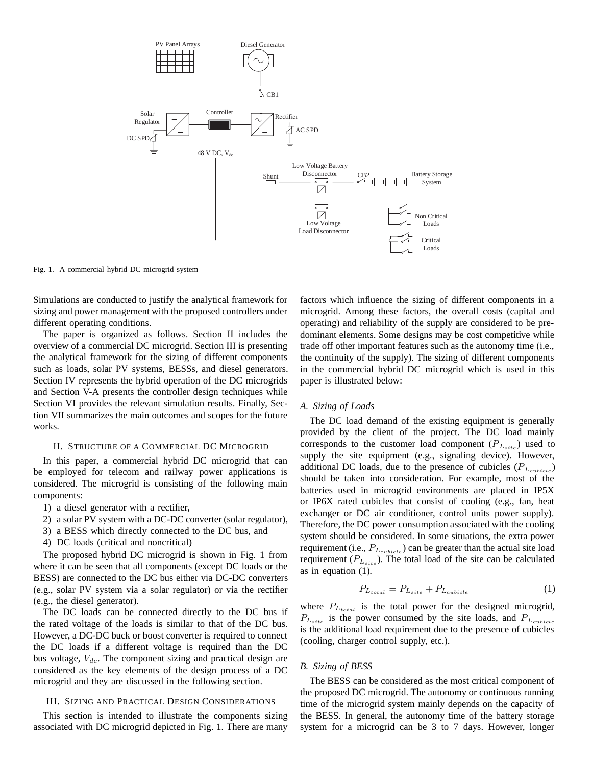

Fig. 1. A commercial hybrid DC microgrid system

Simulations are conducted to justify the analytical framework for sizing and power management with the proposed controllers under different operating conditions.

The paper is organized as follows. Section II includes the overview of a commercial DC microgrid. Section III is presenting the analytical framework for the sizing of different components such as loads, solar PV systems, BESSs, and diesel generators. Section IV represents the hybrid operation of the DC microgrids and Section V-A presents the controller design techniques while Section VI provides the relevant simulation results. Finally, Section VII summarizes the main outcomes and scopes for the future works.

#### II. STRUCTURE OF A COMMERCIAL DC MICROGRID

In this paper, a commercial hybrid DC microgrid that can be employed for telecom and railway power applications is considered. The microgrid is consisting of the following main components:

- 1) a diesel generator with a rectifier,
- 2) a solar PV system with a DC-DC converter (solar regulator),
- 3) a BESS which directly connected to the DC bus, and
- 4) DC loads (critical and noncritical)

The proposed hybrid DC microgrid is shown in Fig. 1 from where it can be seen that all components (except DC loads or the BESS) are connected to the DC bus either via DC-DC converters (e.g., solar PV system via a solar regulator) or via the rectifier (e.g., the diesel generator).

The DC loads can be connected directly to the DC bus if the rated voltage of the loads is similar to that of the DC bus. However, a DC-DC buck or boost converter is required to connect the DC loads if a different voltage is required than the DC bus voltage, V*dc*. The component sizing and practical design are considered as the key elements of the design process of a DC microgrid and they are discussed in the following section.

#### III. SIZING AND PRACTICAL DESIGN CONSIDERATIONS

This section is intended to illustrate the components sizing associated with DC microgrid depicted in Fig. 1. There are many factors which influence the sizing of different components in a microgrid. Among these factors, the overall costs (capital and operating) and reliability of the supply are considered to be predominant elements. Some designs may be cost competitive while trade off other important features such as the autonomy time (i.e., the continuity of the supply). The sizing of different components in the commercial hybrid DC microgrid which is used in this paper is illustrated below:

#### *A. Sizing of Loads*

The DC load demand of the existing equipment is generally provided by the client of the project. The DC load mainly corresponds to the customer load component  $(P_{L<sub>site</sub>})$  used to supply the site equipment (e.g., signaling device). However, additional DC loads, due to the presence of cubicles (P*<sup>L</sup>cubicle* ) should be taken into consideration. For example, most of the batteries used in microgrid environments are placed in IP5X or IP6X rated cubicles that consist of cooling (e.g., fan, heat exchanger or DC air conditioner, control units power supply). Therefore, the DC power consumption associated with the cooling system should be considered. In some situations, the extra power requirement (i.e., P*<sup>L</sup>cubicle* ) can be greater than the actual site load requirement  $(P_{L<sub>site</sub>)$ . The total load of the site can be calculated as in equation (1).

$$
P_{L_{total}} = P_{L_{site}} + P_{L_{cubic}} \tag{1}
$$

where  $P_{L_{total}}$  is the total power for the designed microgrid, P*<sup>L</sup>site* is the power consumed by the site loads, and P*<sup>L</sup>cubicle* is the additional load requirement due to the presence of cubicles (cooling, charger control supply, etc.).

#### *B. Sizing of BESS*

The BESS can be considered as the most critical component of the proposed DC microgrid. The autonomy or continuous running time of the microgrid system mainly depends on the capacity of the BESS. In general, the autonomy time of the battery storage system for a microgrid can be 3 to 7 days. However, longer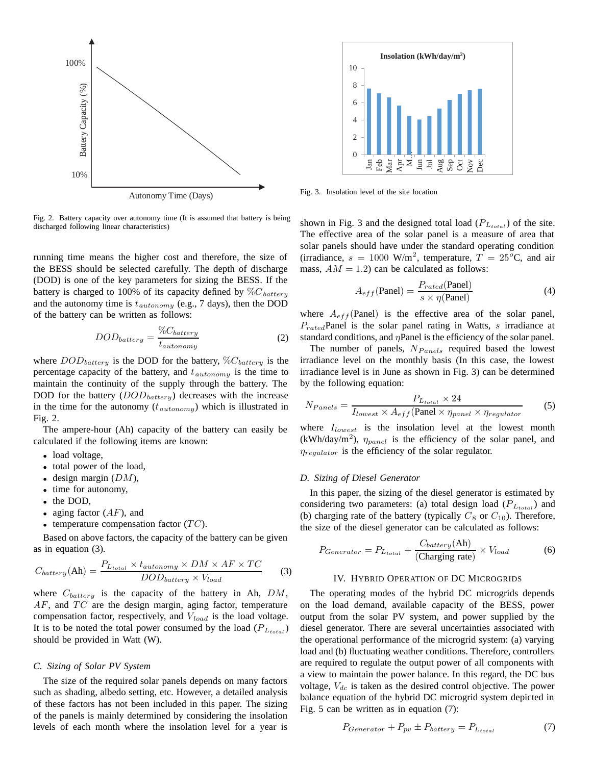

Fig. 2. Battery capacity over autonomy time (It is assumed that battery is being discharged following linear characteristics)

running time means the higher cost and therefore, the size of the BESS should be selected carefully. The depth of discharge (DOD) is one of the key parameters for sizing the BESS. If the battery is charged to 100% of its capacity defined by %C*battery* and the autonomy time is t*autonomy* (e.g., 7 days), then the DOD of the battery can be written as follows:

$$
DOD_{battery} = \frac{\%C_{battery}}{t_{automomy}}\tag{2}
$$

where DOD*battery* is the DOD for the battery, %C*battery* is the percentage capacity of the battery, and t*autonomy* is the time to maintain the continuity of the supply through the battery. The DOD for the battery (DOD*battery*) decreases with the increase in the time for the autonomy  $(t_{automomy})$  which is illustrated in Fig. 2.

The ampere-hour (Ah) capacity of the battery can easily be calculated if the following items are known:

- load voltage,
- total power of the load,
- design margin  $(DM)$ ,
- time for autonomy,
- the DOD,
- aging factor  $(AF)$ , and
- temperature compensation factor  $(TC)$ .

Based on above factors, the capacity of the battery can be given as in equation (3).

$$
C_{battery}(\text{Ah}) = \frac{P_{L_{total}} \times t_{automomy} \times DM \times AF \times TC}{DOD_{battery} \times V_{load}}
$$
(3)

where C*battery* is the capacity of the battery in Ah, DM,  $AF$ , and  $TC$  are the design margin, aging factor, temperature compensation factor, respectively, and V*load* is the load voltage. It is to be noted the total power consumed by the load  $(P_{L_{total}})$ should be provided in Watt (W).

#### *C. Sizing of Solar PV System*

The size of the required solar panels depends on many factors such as shading, albedo setting, etc. However, a detailed analysis of these factors has not been included in this paper. The sizing of the panels is mainly determined by considering the insolation levels of each month where the insolation level for a year is



Fig. 3. Insolation level of the site location

shown in Fig. 3 and the designed total load (P*Ltotal* ) of the site. The effective area of the solar panel is a measure of area that solar panels should have under the standard operating condition (irradiance,  $s = 1000$  W/m<sup>2</sup>, temperature,  $T = 25^{\circ}$ C, and air mass,  $AM = 1.2$ ) can be calculated as follows:

$$
A_{eff}(\text{Panel}) = \frac{P_{rated}(\text{Panel})}{s \times \eta(\text{Panel})}
$$
(4)

where  $A_{eff}$ (Panel) is the effective area of the solar panel, P*rated*Panel is the solar panel rating in Watts, s irradiance at standard conditions, and  $\eta$ Panel is the efficiency of the solar panel.

The number of panels,  $N_{Panels}$  required based the lowest irradiance level on the monthly basis (In this case, the lowest irradiance level is in June as shown in Fig. 3) can be determined by the following equation:

$$
N_{Panels} = \frac{P_{L_{total}} \times 24}{I_{lowest} \times A_{eff}(\text{Panel} \times \eta_{panel} \times \eta_{regular})}
$$
(5)

where I*lowest* is the insolation level at the lowest month  $(kWh/day/m<sup>2</sup>)$ ,  $\eta_{panel}$  is the efficiency of the solar panel, and *n*<sub>regulator</sub> is the efficiency of the solar regulator.

#### *D. Sizing of Diesel Generator*

In this paper, the sizing of the diesel generator is estimated by considering two parameters: (a) total design load (P*<sup>L</sup>total* ) and (b) charging rate of the battery (typically  $C_8$  or  $C_{10}$ ). Therefore, the size of the diesel generator can be calculated as follows:

$$
P_{Generator} = P_{L_{total}} + \frac{C_{battery}(\text{Ah})}{(\text{Charging rate})} \times V_{load}
$$
 (6)

#### IV. HYBRID OPERATION OF DC MICROGRIDS

The operating modes of the hybrid DC microgrids depends on the load demand, available capacity of the BESS, power output from the solar PV system, and power supplied by the diesel generator. There are several uncertainties associated with the operational performance of the microgrid system: (a) varying load and (b) fluctuating weather conditions. Therefore, controllers are required to regulate the output power of all components with a view to maintain the power balance. In this regard, the DC bus voltage, V*dc* is taken as the desired control objective. The power balance equation of the hybrid DC microgrid system depicted in Fig. 5 can be written as in equation (7):

$$
P_{Generator} + P_{pv} \pm P_{battery} = P_{L_{total}} \tag{7}
$$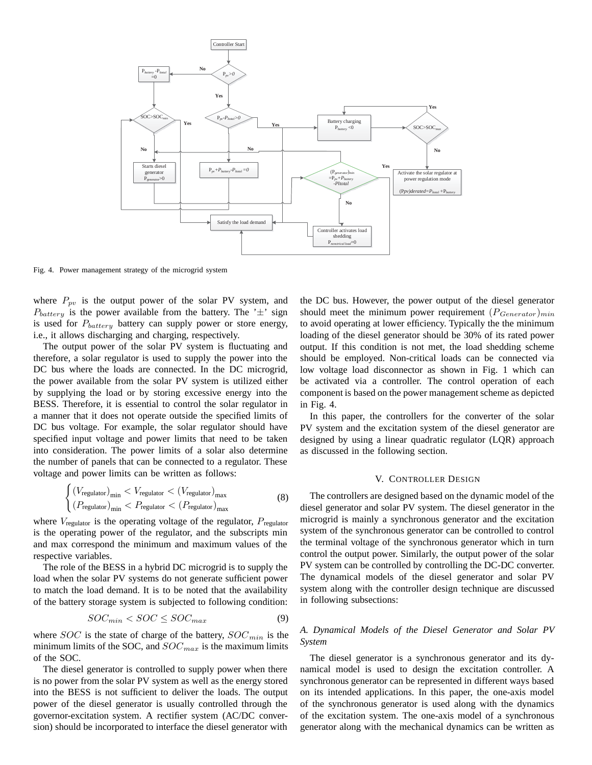

Fig. 4. Power management strategy of the microgrid system

where  $P_{pv}$  is the output power of the solar PV system, and  $P_{battery}$  is the power available from the battery. The ' $\pm$ ' sign is used for P*battery* battery can supply power or store energy, i.e., it allows discharging and charging, respectively.

The output power of the solar PV system is fluctuating and therefore, a solar regulator is used to supply the power into the DC bus where the loads are connected. In the DC microgrid, the power available from the solar PV system is utilized either by supplying the load or by storing excessive energy into the BESS. Therefore, it is essential to control the solar regulator in a manner that it does not operate outside the specified limits of DC bus voltage. For example, the solar regulator should have specified input voltage and power limits that need to be taken into consideration. The power limits of a solar also determine the number of panels that can be connected to a regulator. These voltage and power limits can be written as follows:

$$
\begin{cases}\n(V_{\text{regularator}})_{\text{min}} < V_{\text{regularator}} < (V_{\text{regularator}})_{\text{max}} \\
(P_{\text{regularator}})_{\text{min}} < P_{\text{regularator}} < (P_{\text{regularator}})_{\text{max}}\n\end{cases}\n\tag{8}
$$

where  $V_{\text{regular}}$  is the operating voltage of the regulator,  $P_{\text{regular}}$ is the operating power of the regulator, and the subscripts min and max correspond the minimum and maximum values of the respective variables.

The role of the BESS in a hybrid DC microgrid is to supply the load when the solar PV systems do not generate sufficient power to match the load demand. It is to be noted that the availability of the battery storage system is subjected to following condition:

$$
SOC_{min} < SOC \le SOC_{max} \tag{9}
$$

where SOC is the state of charge of the battery, SOC*min* is the minimum limits of the SOC, and SOC*max* is the maximum limits of the SOC.

The diesel generator is controlled to supply power when there is no power from the solar PV system as well as the energy stored into the BESS is not sufficient to deliver the loads. The output power of the diesel generator is usually controlled through the governor-excitation system. A rectifier system (AC/DC conversion) should be incorporated to interface the diesel generator with the DC bus. However, the power output of the diesel generator should meet the minimum power requirement  $(P_{Generator})_{min}$ to avoid operating at lower efficiency. Typically the the minimum loading of the diesel generator should be 30% of its rated power output. If this condition is not met, the load shedding scheme should be employed. Non-critical loads can be connected via low voltage load disconnector as shown in Fig. 1 which can be activated via a controller. The control operation of each component is based on the power management scheme as depicted in Fig. 4.

In this paper, the controllers for the converter of the solar PV system and the excitation system of the diesel generator are designed by using a linear quadratic regulator (LQR) approach as discussed in the following section.

#### V. CONTROLLER DESIGN

The controllers are designed based on the dynamic model of the diesel generator and solar PV system. The diesel generator in the microgrid is mainly a synchronous generator and the excitation system of the synchronous generator can be controlled to control the terminal voltage of the synchronous generator which in turn control the output power. Similarly, the output power of the solar PV system can be controlled by controlling the DC-DC converter. The dynamical models of the diesel generator and solar PV system along with the controller design technique are discussed in following subsections:

#### *A. Dynamical Models of the Diesel Generator and Solar PV System*

The diesel generator is a synchronous generator and its dynamical model is used to design the excitation controller. A synchronous generator can be represented in different ways based on its intended applications. In this paper, the one-axis model of the synchronous generator is used along with the dynamics of the excitation system. The one-axis model of a synchronous generator along with the mechanical dynamics can be written as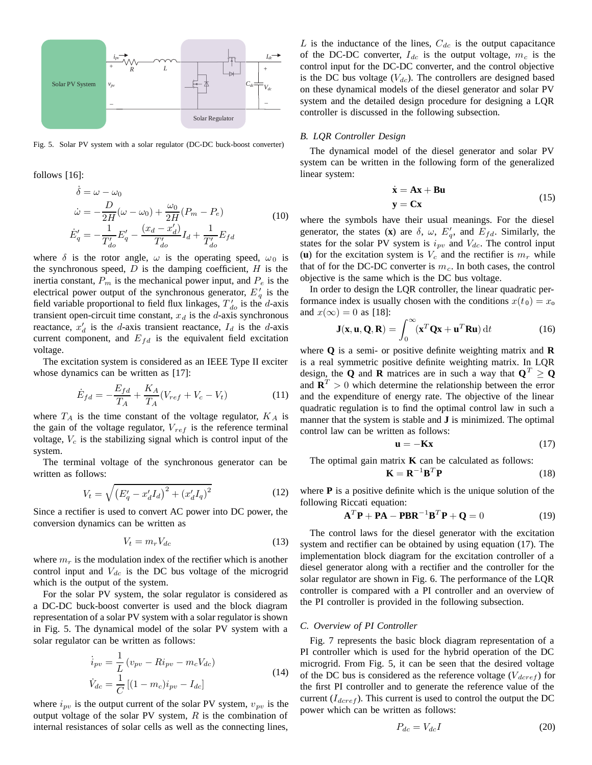

Fig. 5. Solar PV system with a solar regulator (DC-DC buck-boost converter)

follows [16]:

$$
\dot{\delta} = \omega - \omega_0 \n\dot{\omega} = -\frac{D}{2H}(\omega - \omega_0) + \frac{\omega_0}{2H}(P_m - P_e) \n\dot{E}'_q = -\frac{1}{T'_{do}}E'_q - \frac{(x_d - x'_d)}{T'_{do}}I_d + \frac{1}{T'_{do}}E_{fd}
$$
\n(10)

where  $\delta$  is the rotor angle,  $\omega$  is the operating speed,  $\omega_0$  is the synchronous speed,  $D$  is the damping coefficient,  $H$  is the inertia constant,  $P_m$  is the mechanical power input, and  $P_e$  is the electrical power output of the synchronous generator,  $E_q'$  is the field variable proportional to field flux linkages,  $T'_{do}$  is the d-axis transient open-circuit time constant,  $x_d$  is the  $d$ -axis synchronous reactance,  $x'_d$  is the d-axis transient reactance,  $I_d$  is the d-axis current component, and  $E_{fd}$  is the equivalent field excitation voltage.

The excitation system is considered as an IEEE Type II exciter whose dynamics can be written as [17]:

$$
\dot{E}_{fd} = -\frac{E_{fd}}{T_A} + \frac{K_A}{T_A}(V_{ref} + V_c - V_t)
$$
\n(11)

where  $T_A$  is the time constant of the voltage regulator,  $K_A$  is the gain of the voltage regulator, V*ref* is the reference terminal voltage, V*<sup>c</sup>* is the stabilizing signal which is control input of the system.

The terminal voltage of the synchronous generator can be written as follows:

$$
V_t = \sqrt{\left(E_q' - x_d'I_d\right)^2 + \left(x_d'I_q\right)^2} \tag{12}
$$

Since a rectifier is used to convert AC power into DC power, the conversion dynamics can be written as

$$
V_t = m_r V_{dc} \tag{13}
$$

where  $m_r$  is the modulation index of the rectifier which is another control input and V*dc* is the DC bus voltage of the microgrid which is the output of the system.

For the solar PV system, the solar regulator is considered as a DC-DC buck-boost converter is used and the block diagram representation of a solar PV system with a solar regulator is shown in Fig. 5. The dynamical model of the solar PV system with a solar regulator can be written as follows:

$$
\dot{i}_{pv} = \frac{1}{L} (v_{pv} - Ri_{pv} - m_c V_{dc})
$$
\n
$$
\dot{V}_{dc} = \frac{1}{C} [(1 - m_c)i_{pv} - I_{dc}]
$$
\n(14)

where  $i_{pv}$  is the output current of the solar PV system,  $v_{pv}$  is the output voltage of the solar PV system,  $R$  is the combination of internal resistances of solar cells as well as the connecting lines,

 $L$  is the inductance of the lines,  $C_{dc}$  is the output capacitance of the DC-DC converter,  $I_{dc}$  is the output voltage,  $m_c$  is the control input for the DC-DC converter, and the control objective is the DC bus voltage  $(V_{dc})$ . The controllers are designed based on these dynamical models of the diesel generator and solar PV system and the detailed design procedure for designing a LQR controller is discussed in the following subsection.

#### *B. LQR Controller Design*

The dynamical model of the diesel generator and solar PV system can be written in the following form of the generalized linear system:

$$
\dot{\mathbf{x}} = \mathbf{A}\mathbf{x} + \mathbf{B}\mathbf{u}
$$
  

$$
\mathbf{y} = \mathbf{C}\mathbf{x}
$$
 (15)

where the symbols have their usual meanings. For the diesel generator, the states (**x**) are  $\delta$ ,  $\omega$ ,  $E'_{q}$ , and  $E_{fd}$ . Similarly, the states for the solar PV system is  $i_{pv}$  and  $V_{dc}$ . The control input (**u**) for the excitation system is  $V_c$  and the rectifier is  $m_r$  while that of for the DC-DC converter is  $m<sub>c</sub>$ . In both cases, the control objective is the same which is the DC bus voltage.

In order to design the LQR controller, the linear quadratic performance index is usually chosen with the conditions  $x(t_0) = x_0$ and  $x(\infty)=0$  as [18]:

$$
\mathbf{J}(\mathbf{x}, \mathbf{u}, \mathbf{Q}, \mathbf{R}) = \int_0^\infty (\mathbf{x}^T \mathbf{Q} \mathbf{x} + \mathbf{u}^T \mathbf{R} \mathbf{u}) dt
$$
 (16)

where **Q** is a semi- or positive definite weighting matrix and **R** is a real symmetric positive definite weighting matrix. In LQR design, the **Q** and **R** matrices are in such a way that  $Q^T \ge Q$ and  $\mathbf{R}^T > 0$  which determine the relationship between the error and the expenditure of energy rate. The objective of the linear quadratic regulation is to find the optimal control law in such a manner that the system is stable and **J** is minimized. The optimal control law can be written as follows:

$$
\mathbf{u} = -\mathbf{K}\mathbf{x} \tag{17}
$$

The optimal gain matrix  $K$  can be calculated as follows:  $\mathbf{K} = \mathbf{R}^{-1} \mathbf{I}$ 

$$
\mathbf{B}^T \mathbf{P} \tag{18}
$$

where **P** is a positive definite which is the unique solution of the following Riccati equation:

$$
\mathbf{A}^T \mathbf{P} + \mathbf{P} \mathbf{A} - \mathbf{P} \mathbf{B} \mathbf{R}^{-1} \mathbf{B}^T \mathbf{P} + \mathbf{Q} = 0 \tag{19}
$$

The control laws for the diesel generator with the excitation system and rectifier can be obtained by using equation (17). The implementation block diagram for the excitation controller of a diesel generator along with a rectifier and the controller for the solar regulator are shown in Fig. 6. The performance of the LQR controller is compared with a PI controller and an overview of the PI controller is provided in the following subsection.

#### *C. Overview of PI Controller*

Fig. 7 represents the basic block diagram representation of a PI controller which is used for the hybrid operation of the DC microgrid. From Fig. 5, it can be seen that the desired voltage of the DC bus is considered as the reference voltage  $(V_{dcref})$  for the first PI controller and to generate the reference value of the current  $(I_{dcref})$ . This current is used to control the output the DC power which can be written as follows:

$$
P_{dc} = V_{dc}I\tag{20}
$$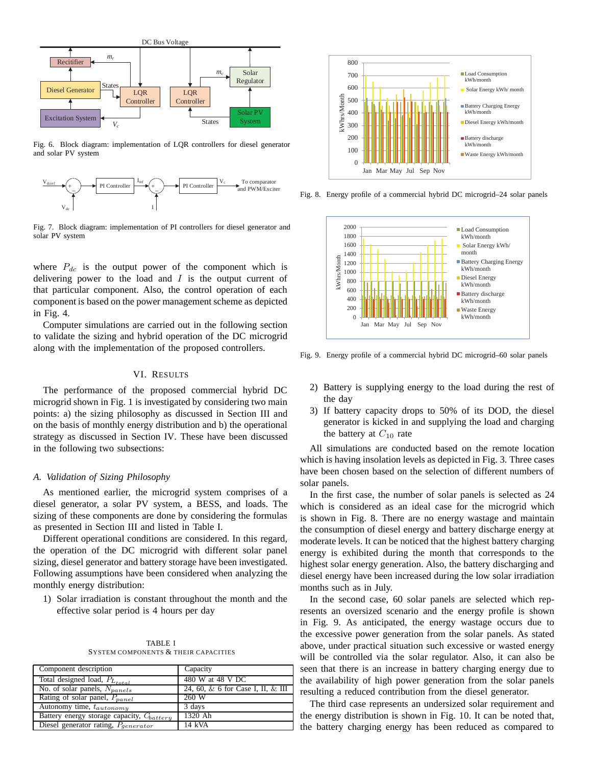

Fig. 6. Block diagram: implementation of LQR controllers for diesel generator and solar PV system



Fig. 7. Block diagram: implementation of PI controllers for diesel generator and solar PV system

where  $P_{dc}$  is the output power of the component which is delivering power to the load and  $I$  is the output current of that particular component. Also, the control operation of each component is based on the power management scheme as depicted in Fig. 4.

Computer simulations are carried out in the following section to validate the sizing and hybrid operation of the DC microgrid along with the implementation of the proposed controllers.

#### VI. RESULTS

The performance of the proposed commercial hybrid DC microgrid shown in Fig. 1 is investigated by considering two main points: a) the sizing philosophy as discussed in Section III and on the basis of monthly energy distribution and b) the operational strategy as discussed in Section IV. These have been discussed in the following two subsections:

#### *A. Validation of Sizing Philosophy*

As mentioned earlier, the microgrid system comprises of a diesel generator, a solar PV system, a BESS, and loads. The sizing of these components are done by considering the formulas as presented in Section III and listed in Table I.

Different operational conditions are considered. In this regard, the operation of the DC microgrid with different solar panel sizing, diesel generator and battery storage have been investigated. Following assumptions have been considered when analyzing the monthly energy distribution:

1) Solar irradiation is constant throughout the month and the effective solar period is 4 hours per day

TABLE I SYSTEM COMPONENTS & THEIR CAPACITIES

| Component description                          | Capacity                                |
|------------------------------------------------|-----------------------------------------|
| Total designed load, $P_{L_{total}}$           | 480 W at 48 V DC                        |
| No. of solar panels, $N_{panels}$              | 24, 60, $\&$ 6 for Case I, II, $\&$ III |
| Rating of solar panel, $P_{panel}$             | 260 W                                   |
| Autonomy time, tautonomy                       | 3 days                                  |
| Battery energy storage capacity, $C_{battery}$ | 1320 Ah                                 |
| Diesel generator rating, $P_{generator}$       | 14 kVA                                  |



Fig. 8. Energy profile of a commercial hybrid DC microgrid–24 solar panels

![](_page_6_Figure_16.jpeg)

Fig. 9. Energy profile of a commercial hybrid DC microgrid–60 solar panels

- 2) Battery is supplying energy to the load during the rest of the day
- 3) If battery capacity drops to 50% of its DOD, the diesel generator is kicked in and supplying the load and charging the battery at  $C_{10}$  rate

All simulations are conducted based on the remote location which is having insolation levels as depicted in Fig. 3. Three cases have been chosen based on the selection of different numbers of solar panels.

In the first case, the number of solar panels is selected as 24 which is considered as an ideal case for the microgrid which is shown in Fig. 8. There are no energy wastage and maintain the consumption of diesel energy and battery discharge energy at moderate levels. It can be noticed that the highest battery charging energy is exhibited during the month that corresponds to the highest solar energy generation. Also, the battery discharging and diesel energy have been increased during the low solar irradiation months such as in July.

In the second case, 60 solar panels are selected which represents an oversized scenario and the energy profile is shown in Fig. 9. As anticipated, the energy wastage occurs due to the excessive power generation from the solar panels. As stated above, under practical situation such excessive or wasted energy will be controlled via the solar regulator. Also, it can also be seen that there is an increase in battery charging energy due to the availability of high power generation from the solar panels resulting a reduced contribution from the diesel generator.

The third case represents an undersized solar requirement and the energy distribution is shown in Fig. 10. It can be noted that, the battery charging energy has been reduced as compared to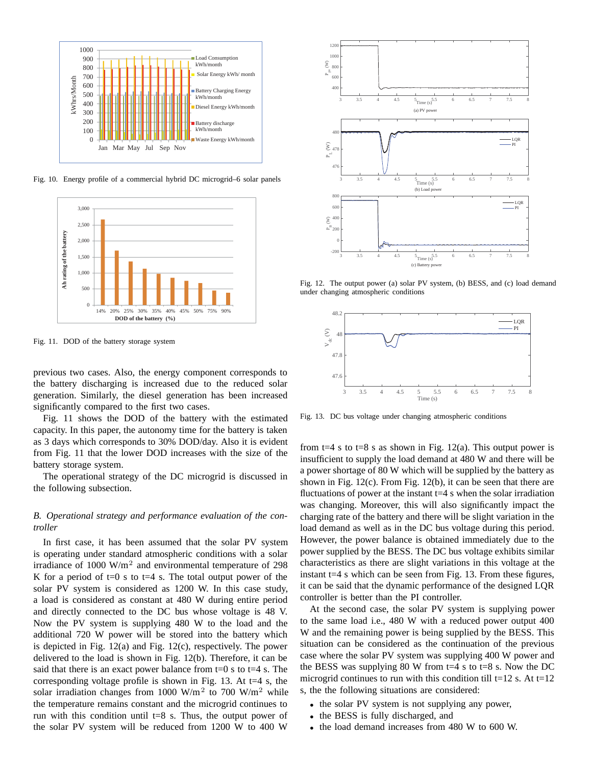![](_page_7_Figure_0.jpeg)

Fig. 10. Energy profile of a commercial hybrid DC microgrid–6 solar panels

![](_page_7_Figure_2.jpeg)

Fig. 11. DOD of the battery storage system

previous two cases. Also, the energy component corresponds to the battery discharging is increased due to the reduced solar generation. Similarly, the diesel generation has been increased significantly compared to the first two cases.

Fig. 11 shows the DOD of the battery with the estimated capacity. In this paper, the autonomy time for the battery is taken as 3 days which corresponds to 30% DOD/day. Also it is evident from Fig. 11 that the lower DOD increases with the size of the battery storage system.

The operational strategy of the DC microgrid is discussed in the following subsection.

#### *B. Operational strategy and performance evaluation of the controller*

In first case, it has been assumed that the solar PV system is operating under standard atmospheric conditions with a solar irradiance of  $1000 \text{ W/m}^2$  and environmental temperature of 298 K for a period of  $t=0$  s to  $t=4$  s. The total output power of the solar PV system is considered as 1200 W. In this case study, a load is considered as constant at 480 W during entire period and directly connected to the DC bus whose voltage is 48 V. Now the PV system is supplying 480 W to the load and the additional 720 W power will be stored into the battery which is depicted in Fig. 12(a) and Fig. 12(c), respectively. The power delivered to the load is shown in Fig. 12(b). Therefore, it can be said that there is an exact power balance from  $t=0$  s to  $t=4$  s. The corresponding voltage profile is shown in Fig. 13. At  $t=4$  s, the solar irradiation changes from 1000 W/m<sup>2</sup> to 700 W/m<sup>2</sup> while the temperature remains constant and the microgrid continues to run with this condition until  $t=8$  s. Thus, the output power of the solar PV system will be reduced from 1200 W to 400 W

![](_page_7_Figure_9.jpeg)

Fig. 12. The output power (a) solar PV system, (b) BESS, and (c) load demand under changing atmospheric conditions

![](_page_7_Figure_11.jpeg)

Fig. 13. DC bus voltage under changing atmospheric conditions

from t=4 s to t=8 s as shown in Fig. 12(a). This output power is insufficient to supply the load demand at 480 W and there will be a power shortage of 80 W which will be supplied by the battery as shown in Fig. 12(c). From Fig. 12(b), it can be seen that there are fluctuations of power at the instant  $t=4$  s when the solar irradiation was changing. Moreover, this will also significantly impact the charging rate of the battery and there will be slight variation in the load demand as well as in the DC bus voltage during this period. However, the power balance is obtained immediately due to the power supplied by the BESS. The DC bus voltage exhibits similar characteristics as there are slight variations in this voltage at the instant t=4 s which can be seen from Fig. 13. From these figures, it can be said that the dynamic performance of the designed LQR controller is better than the PI controller.

At the second case, the solar PV system is supplying power to the same load i.e., 480 W with a reduced power output 400 W and the remaining power is being supplied by the BESS. This situation can be considered as the continuation of the previous case where the solar PV system was supplying 400 W power and the BESS was supplying 80 W from  $t=4$  s to  $t=8$  s. Now the DC microgrid continues to run with this condition till t=12 s. At t=12 s, the the following situations are considered:

- the solar PV system is not supplying any power,
- the BESS is fully discharged, and
- the load demand increases from 480 W to 600 W.